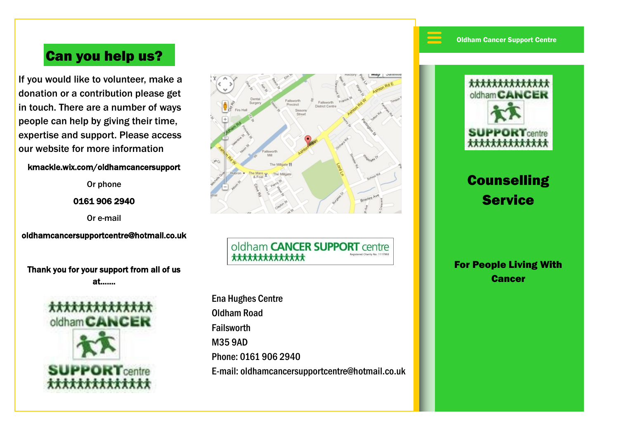$\equiv$ 

## Can you help us?

If you would like to volunteer, make a donation or a contribution please get in touch. There are a number of ways people can help by giving their time, expertise and support. Please access our website for more information

#### kmackle.wix.com/oldhamcancersupport

Or phone

0161 906 2940

Or e-mail

oldhamcancersupportcentre@hotmail.co.uk

Thank you for your support from all of us at…….





oldham **CANCER SUPPORT** centre \*\*\*\*\*\*\*\*\*\*\*\*\*\*

Ena Hughes Centre Oldham Road Failsworth M35 9AD Phone: 0161 906 2940 E-mail: oldhamcancersupportcentre@hotmail.co.uk



# **Counselling Service**

For People Living With **Cancer**